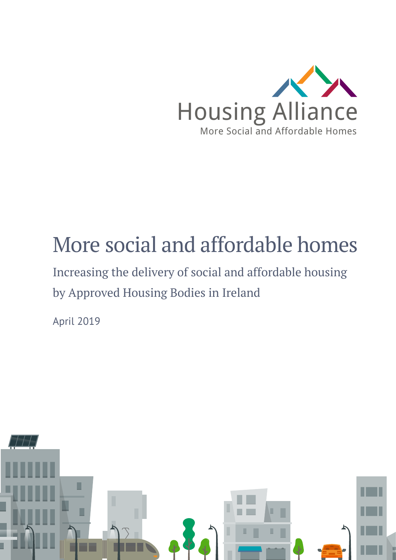

# More social and affordable homes

Increasing the delivery of social and affordable housing by Approved Housing Bodies in Ireland

April 2019

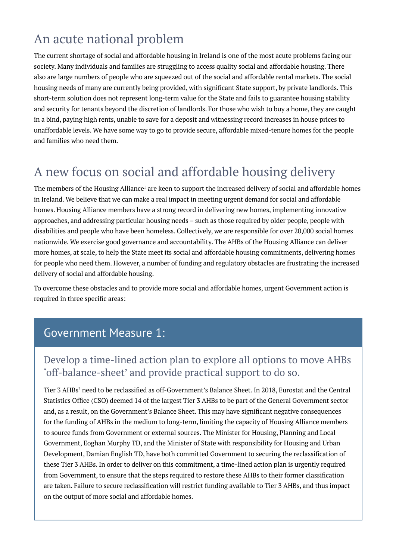## An acute national problem

The current shortage of social and affordable housing in Ireland is one of the most acute problems facing our society. Many individuals and families are struggling to access quality social and affordable housing. There also are large numbers of people who are squeezed out of the social and affordable rental markets. The social housing needs of many are currently being provided, with significant State support, by private landlords. This short-term solution does not represent long-term value for the State and fails to guarantee housing stability and security for tenants beyond the discretion of landlords. For those who wish to buy a home, they are caught in a bind, paying high rents, unable to save for a deposit and witnessing record increases in house prices to unaffordable levels. We have some way to go to provide secure, affordable mixed-tenure homes for the people and families who need them.

## A new focus on social and affordable housing delivery

The members of the Housing Alliance<sup>1</sup> are keen to support the increased delivery of social and affordable homes in Ireland. We believe that we can make a real impact in meeting urgent demand for social and affordable homes. Housing Alliance members have a strong record in delivering new homes, implementing innovative approaches, and addressing particular housing needs – such as those required by older people, people with disabilities and people who have been homeless. Collectively, we are responsible for over 20,000 social homes nationwide. We exercise good governance and accountability. The AHBs of the Housing Alliance can deliver more homes, at scale, to help the State meet its social and affordable housing commitments, delivering homes for people who need them. However, a number of funding and regulatory obstacles are frustrating the increased delivery of social and affordable housing.

To overcome these obstacles and to provide more social and affordable homes, urgent Government action is required in three specific areas:

#### Government Measure 1:

#### Develop a time-lined action plan to explore all options to move AHBs 'off-balance-sheet' and provide practical support to do so.

Tier 3 AHBs<sup>2</sup> need to be reclassified as off-Government's Balance Sheet. In 2018, Eurostat and the Central Statistics Office (CSO) deemed 14 of the largest Tier 3 AHBs to be part of the General Government sector and, as a result, on the Government's Balance Sheet. This may have significant negative consequences for the funding of AHBs in the medium to long-term, limiting the capacity of Housing Alliance members to source funds from Government or external sources. The Minister for Housing, Planning and Local Government, Eoghan Murphy TD, and the Minister of State with responsibility for Housing and Urban Development, Damian English TD, have both committed Government to securing the reclassification of these Tier 3 AHBs. In order to deliver on this commitment, a time-lined action plan is urgently required from Government, to ensure that the steps required to restore these AHBs to their former classification are taken. Failure to secure reclassification will restrict funding available to Tier 3 AHBs, and thus impact on the output of more social and affordable homes.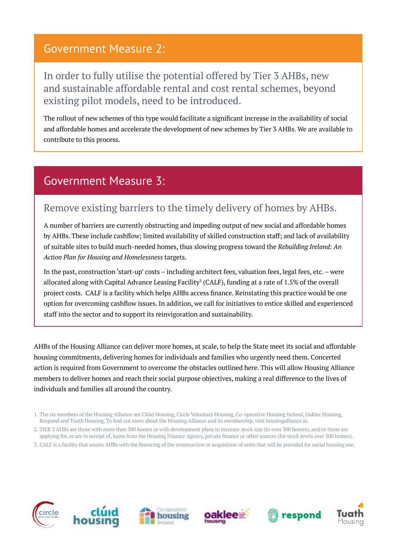#### Government Measure 2:

#### In order to fully utilise the potential offered by Tier 3 AHBs, new and sustainable affordable rental and cost rental schemes, beyond existing pilot models, need to be introduced.

The rollout of new schemes of this type would facilitate a significant increase in the availability of social and affordable homes and accelerate the development of new schemes by Tier 3 AHBs. We are available to contribute to this process.

### Government Measure 3:

#### Remove existing barriers to the timely delivery of homes by AHBs.

A number of barriers are currently obstructing and impeding output of new social and affordable homes by AHBs. These include cashflow; limited availability of skilled construction staff; and lack of availability of suitable sites to build much-needed homes, thus slowing progress toward the *Rebuilding Ireland: An Action Plan for Housing and Homelessness* targets.

In the past, construction 'start-up' costs – including architect fees, valuation fees, legal fees, etc. – were allocated along with Capital Advance Leasing Facility<sup>3</sup> (CALF), funding at a rate of 1.5% of the overall project costs. CALF is a facility which helps AHBs access finance. Reinstating this practice would be one option for overcoming cashflow issues. In addition, we call for initiatives to entice skilled and experienced staff into the sector and to support its reinvigoration and sustainability.

AHBs of the Housing Alliance can deliver more homes, at scale, to help the State meet its social and affordable housing commitments, delivering homes for individuals and families who urgently need them. Concerted action is required from Government to overcome the obstacles outlined here. This will allow Housing Alliance members to deliver homes and reach their social purpose objectives, making a real difference to the lives of individuals and families all around the country.

3. CALF is a facility that assists AHBs with the financing of the construction or acquisition of units that will be provided for social housing use.













<sup>1.</sup> The six members of the Housing Alliance are Clúid Housing, Circle Voluntary Housing, Co-operative Housing Ireland, Oaklee Housing, Respond and Tuath Housing. To find out more about the Housing Alliance and its membership, visit housingalliance.ie.

<sup>2.</sup> TIER 3 AHBs are those with more than 300 homes or with development plans to increase stock size (to over 300 homes), and/or those are applying for, or are in receipt of, loans from the Housing Finance Agency, private finance or other sources (for stock levels over 300 homes).